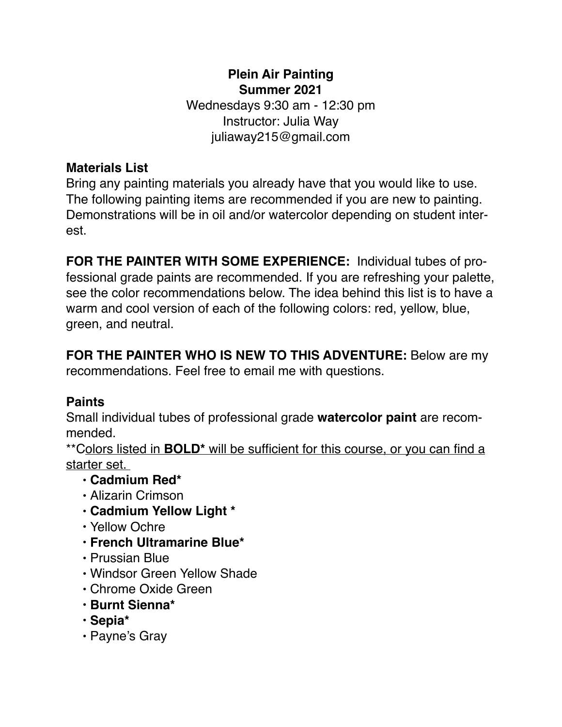## **Plein Air Painting Summer 2021**

Wednesdays 9:30 am - 12:30 pm Instructor: Julia Way juliaway215@gmail.com

## **Materials List**

Bring any painting materials you already have that you would like to use. The following painting items are recommended if you are new to painting. Demonstrations will be in oil and/or watercolor depending on student interest.

**FOR THE PAINTER WITH SOME EXPERIENCE:** Individual tubes of professional grade paints are recommended. If you are refreshing your palette, see the color recommendations below. The idea behind this list is to have a warm and cool version of each of the following colors: red, yellow, blue, green, and neutral.

**FOR THE PAINTER WHO IS NEW TO THIS ADVENTURE:** Below are my recommendations. Feel free to email me with questions.

## **Paints**

Small individual tubes of professional grade **watercolor paint** are recommended.

\*\*Colors listed in **BOLD\*** will be sufficient for this course, or you can find a starter set.

- **• Cadmium Red\***
- Alizarin Crimson
- **• Cadmium Yellow Light \***
- Yellow Ochre
- **• French Ultramarine Blue\***
- Prussian Blue
- Windsor Green Yellow Shade
- Chrome Oxide Green
- **• Burnt Sienna\***
- **Sepia\***
- Payne's Gray